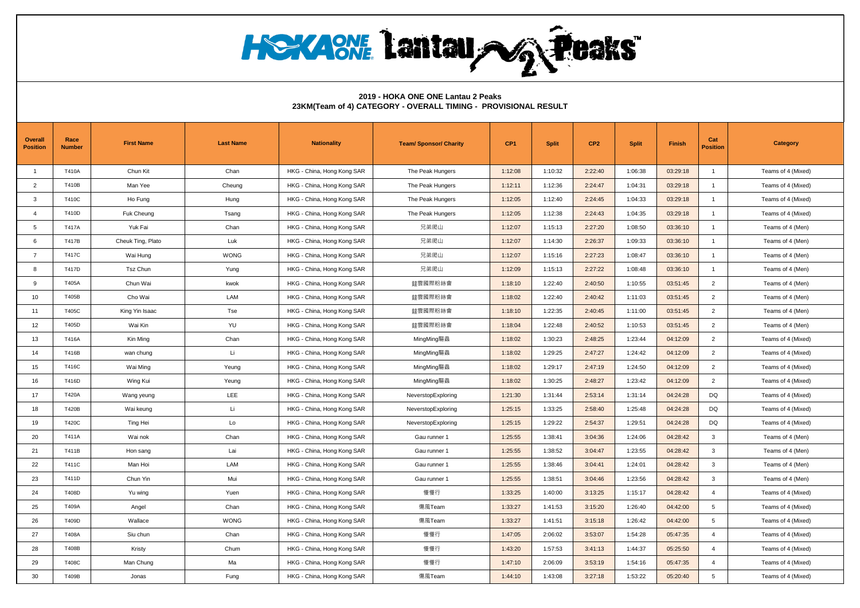**HOKAWE Lantau AG Peaks** 

## **2019 - HOKA ONE ONE Lantau 2 Peaks 23KM(Team of 4) CATEGORY - OVERALL TIMING - PROVISIONAL RESULT**

| <b>Overall</b><br><b>Position</b> | Race<br><b>Number</b> | <b>First Name</b> | <b>Last Name</b> | <b>Nationality</b>         | <b>Team/ Sponsor/ Charity</b> | CP <sub>1</sub> | <b>Split</b> | CP <sub>2</sub> | <b>Split</b> | <b>Finish</b> | Cat<br><b>Position</b> | Category           |
|-----------------------------------|-----------------------|-------------------|------------------|----------------------------|-------------------------------|-----------------|--------------|-----------------|--------------|---------------|------------------------|--------------------|
| $\overline{1}$                    | T410A                 | Chun Kit          | Chan             | HKG - China, Hong Kong SAR | The Peak Hungers              | 1:12:08         | 1:10:32      | 2:22:40         | 1:06:38      | 03:29:18      | $\mathbf{1}$           | Teams of 4 (Mixed) |
| 2                                 | T410B                 | Man Yee           | Cheung           | HKG - China, Hong Kong SAR | The Peak Hungers              | 1:12:11         | 1:12:36      | 2:24:47         | 1:04:31      | 03:29:18      | $\mathbf{1}$           | Teams of 4 (Mixed) |
| 3                                 | T410C                 | Ho Fung           | Hung             | HKG - China, Hong Kong SAR | The Peak Hungers              | 1:12:05         | 1:12:40      | 2:24:45         | 1:04:33      | 03:29:18      | $\mathbf{1}$           | Teams of 4 (Mixed) |
| $\overline{4}$                    | T410D                 | Fuk Cheung        | Tsang            | HKG - China, Hong Kong SAR | The Peak Hungers              | 1:12:05         | 1:12:38      | 2:24:43         | 1:04:35      | 03:29:18      | $\mathbf{1}$           | Teams of 4 (Mixed) |
| 5                                 | <b>T417A</b>          | Yuk Fai           | Chan             | HKG - China, Hong Kong SAR | 兄弟爬山                          | 1:12:07         | 1:15:13      | 2:27:20         | 1:08:50      | 03:36:10      | $\mathbf{1}$           | Teams of 4 (Men)   |
| 6                                 | T417B                 | Cheuk Ting, Plato | Luk              | HKG - China, Hong Kong SAR | 兄弟爬山                          | 1:12:07         | 1:14:30      | 2:26:37         | 1:09:33      | 03:36:10      | $\mathbf{1}$           | Teams of 4 (Men)   |
| $\overline{7}$                    | T417C                 | Wai Hung          | <b>WONG</b>      | HKG - China, Hong Kong SAR | 兄弟爬山                          | 1:12:07         | 1:15:16      | 2:27:23         | 1:08:47      | 03:36:10      | $\mathbf{1}$           | Teams of 4 (Men)   |
| 8                                 | T417D                 | Tsz Chun          | Yung             | HKG - China, Hong Kong SAR | 兄弟爬山                          | 1:12:09         | 1:15:13      | 2:27:22         | 1:08:48      | 03:36:10      | $\overline{1}$         | Teams of 4 (Men)   |
| 9                                 | T405A                 | Chun Wai          | kwok             | HKG - China, Hong Kong SAR | <b>鑫雲國際粉絲會</b>                | 1:18:10         | 1:22:40      | 2:40:50         | 1:10:55      | 03:51:45      | $\overline{2}$         | Teams of 4 (Men)   |
| 10                                | T405B                 | Cho Wai           | LAM              | HKG - China, Hong Kong SAR | <b>鑫雲國際粉絲會</b>                | 1:18:02         | 1:22:40      | 2:40:42         | 1:11:03      | 03:51:45      | $\overline{2}$         | Teams of 4 (Men)   |
| 11                                | T405C                 | King Yin Isaac    | Tse              | HKG - China, Hong Kong SAR | <b>鑫雲國際粉絲會</b>                | 1:18:10         | 1:22:35      | 2:40:45         | 1:11:00      | 03:51:45      | $\overline{2}$         | Teams of 4 (Men)   |
| 12                                | T405D                 | Wai Kin           | YU               | HKG - China, Hong Kong SAR | <b>蘳雲國際粉絲會</b>                | 1:18:04         | 1:22:48      | 2:40:52         | 1:10:53      | 03:51:45      | $\overline{2}$         | Teams of 4 (Men)   |
| 13                                | T416A                 | Kin Ming          | Chan             | HKG - China, Hong Kong SAR | MingMing驅蟲                    | 1:18:02         | 1:30:23      | 2:48:25         | 1:23:44      | 04:12:09      | $\overline{2}$         | Teams of 4 (Mixed) |
| 14                                | T416B                 | wan chung         | Li               | HKG - China, Hong Kong SAR | MingMing驅蟲                    | 1:18:02         | 1:29:25      | 2:47:27         | 1:24:42      | 04:12:09      | $\overline{2}$         | Teams of 4 (Mixed) |
| 15                                | T416C                 | Wai Ming          | Yeung            | HKG - China, Hong Kong SAR | MingMing驅蟲                    | 1:18:02         | 1:29:17      | 2:47:19         | 1:24:50      | 04:12:09      | $\overline{2}$         | Teams of 4 (Mixed) |
| 16                                | T416D                 | Wing Kui          | Yeung            | HKG - China, Hong Kong SAR | MingMing驅蟲                    | 1:18:02         | 1:30:25      | 2:48:27         | 1:23:42      | 04:12:09      | $\overline{2}$         | Teams of 4 (Mixed) |
| 17                                | T420A                 | Wang yeung        | LEE              | HKG - China, Hong Kong SAR | NeverstopExploring            | 1:21:30         | 1:31:44      | 2:53:14         | 1:31:14      | 04:24:28      | DQ                     | Teams of 4 (Mixed) |
| 18                                | T420B                 | Wai keung         | Li               | HKG - China, Hong Kong SAR | NeverstopExploring            | 1:25:15         | 1:33:25      | 2:58:40         | 1:25:48      | 04:24:28      | DQ                     | Teams of 4 (Mixed) |
| 19                                | T420C                 | <b>Ting Hei</b>   | Lo               | HKG - China, Hong Kong SAR | NeverstopExploring            | 1:25:15         | 1:29:22      | 2:54:37         | 1:29:51      | 04:24:28      | <b>DQ</b>              | Teams of 4 (Mixed) |
| 20                                | T411A                 | Wai nok           | Chan             | HKG - China, Hong Kong SAR | Gau runner 1                  | 1:25:55         | 1:38:41      | 3:04:36         | 1:24:06      | 04:28:42      | 3                      | Teams of 4 (Men)   |
| 21                                | T411B                 | Hon sang          | Lai              | HKG - China, Hong Kong SAR | Gau runner 1                  | 1:25:55         | 1:38:52      | 3:04:47         | 1:23:55      | 04:28:42      | 3                      | Teams of 4 (Men)   |
| 22                                | T411C                 | Man Hoi           | LAM              | HKG - China, Hong Kong SAR | Gau runner 1                  | 1:25:55         | 1:38:46      | 3:04:41         | 1:24:01      | 04:28:42      | $\mathbf{3}$           | Teams of 4 (Men)   |
| 23                                | T411D                 | Chun Yin          | Mui              | HKG - China, Hong Kong SAR | Gau runner 1                  | 1:25:55         | 1:38:51      | 3:04:46         | 1:23:56      | 04:28:42      | 3                      | Teams of 4 (Men)   |
| 24                                | T408D                 | Yu wing           | Yuen             | HKG - China, Hong Kong SAR | 慢慢行                           | 1:33:25         | 1:40:00      | 3:13:25         | 1:15:17      | 04:28:42      | $\overline{4}$         | Teams of 4 (Mixed) |
| 25                                | T409A                 | Angel             | Chan             | HKG - China, Hong Kong SAR | 傷風Team                        | 1:33:27         | 1:41:53      | 3:15:20         | 1:26:40      | 04:42:00      | 5                      | Teams of 4 (Mixed) |
| 26                                | T409D                 | Wallace           | <b>WONG</b>      | HKG - China, Hong Kong SAR | 傷風Team                        | 1:33:27         | 1:41:51      | 3:15:18         | 1:26:42      | 04:42:00      | 5                      | Teams of 4 (Mixed) |
| 27                                | T408A                 | Siu chun          | Chan             | HKG - China, Hong Kong SAR | 慢慢行                           | 1:47:05         | 2:06:02      | 3:53:07         | 1:54:28      | 05:47:35      | $\overline{4}$         | Teams of 4 (Mixed) |
| 28                                | T408B                 | Kristy            | Chum             | HKG - China, Hong Kong SAR | 慢慢行                           | 1:43:20         | 1:57:53      | 3:41:13         | 1:44:37      | 05:25:50      | $\overline{4}$         | Teams of 4 (Mixed) |
| 29                                | T408C                 | Man Chung         | Ma               | HKG - China, Hong Kong SAR | 慢慢行                           | 1:47:10         | 2:06:09      | 3:53:19         | 1:54:16      | 05:47:35      | $\overline{4}$         | Teams of 4 (Mixed) |
| 30                                | T409B                 | Jonas             | Fung             | HKG - China, Hong Kong SAR | 傷風Team                        | 1:44:10         | 1:43:08      | 3:27:18         | 1:53:22      | 05:20:40      | 5                      | Teams of 4 (Mixed) |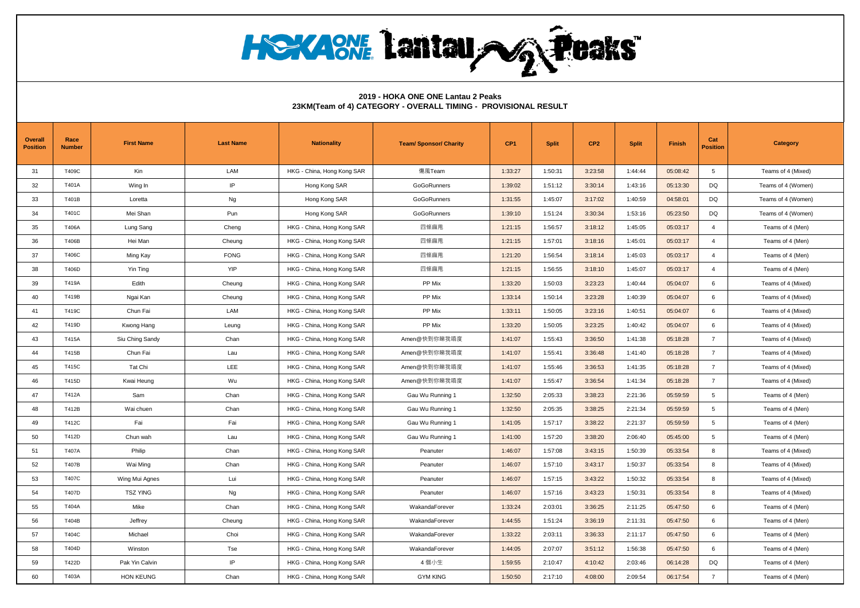**HOYAONE Lantau AG Peaks** 

## **Overall Position Race Number First Name Last Name Nationality Team/ Sponsor/ Charity CP1 Split CP2 Split Finish Cat Position Category** 31 T409C Kin LAM HKG - China, Hong Kong SAR 傷風Team 1:33:27 1:50:31 3:23:58 1:44:44 05:08:42 5 Teams of 4 (Mixed) 32 T401A Wing In IP Hong Kong SAR GoGoRunners 1:39:02 1:51:12 3:30:14 1:43:16 05:13:30 DQ Teams of 4 (Women) 33 | T401B | Loretta | Ng | Hong Kong SAR | GoGoRunners | 1:31:55 | 1:45:07 | 3:17:02 | 1:40:59 | 04:58:01 | DQ | Teams of 4 (Women) 34 | T401C | Mei Shan | Pun | Hong Kong SAR | GoGoRunners | 1:39:10 | 1:51:24 <mark>| 3:30:34 |</mark> 1:53:16 | 05:23:50 | DQ | Teams of 4 (Women) 35 | T406A | Lung Sang | Cheng | HKG - China, Hong Kong SAR | 四條麻甩 | 1:21:15 | 1:56:57 | 3:18:12 | 1:45:05 | 05:03:17 | 4 | Teams of 4 (Men) 36 T406B Hei Man Cheung HKG - China, Hong Kong SAR 四條麻甩 1:21:15 1:57:01 3:18:16 1:45:01 05:03:17 4 Teams of 4 (Men) 37 | T406C | Ming Kay | FONG | HKG - China, Hong Kong SAR | 四條麻甩 | 1:21:20 | 1:56:54 | 3:18:14 | 1:45:03 | 05:03:17 | 4 | Teams of 4 (Men) 38 | T406D | Yin Ting | YIP | HKG - China, Hong Kong SAR | 四條麻甩 | 1:21:15 | 1:56:55 | 3:18:10 | 1:45:07 | 05:03:17 | 4 | Teams of 4 (Men) 39 T419A Edith Cheung HKG - China, Hong Kong SAR PP Mix 1:33:20 1:50:03 3:23:23 1:40:44 05:04:07 6 Teams of 4 (Mixed) 40 | T419B | Ngai Kan | Cheung | HKG - China, Hong Kong SAR | PP Mix | 1:33:14 | 1:50:14 | 3:23:28 | 1:40:39 | 05:04:07 | 6 | Teams of 4 (Mixed) 41 | T419C | Chun Fai | LAM | HKG - China, Hong Kong SAR | PP Mix | 1:33:1**1 |** 1:50:05 | 3:23:16 | 1:40:51 | 05:04:07 | 6 | Teams of 4 (Mixed) 42 | T419D | Kwong Hang | Leung | HKG - China, Hong Kong SAR | PP Mix | 1:33:20 | 1:50:05 | 3:23:25 | 1:40:42 | 05:04:07 | 6 | Teams of 4 (Mixed) 43 | T415A | Siu Ching Sandy | Chan | HKG - China, Hong Kong SAR | Amen@快到你睇我唔度 | 1:41:07 | 1:55:43 | 3:36:50 | 1:41:38 | 05:18:28 | 7 | Teams of 4 (Mixed) 44 T415B Chun Fai Lau HKG - China, Hong Kong SAR Amen@快到你睇我唔度 1:41:07 1:55:41 3:36:48 1:41:40 05:18:28 7 Teams of 4 (Mixed) 45 T415C Tat Chi LEE HKG - China, Hong Kong SAR Amen@快到你睇我唔度 1:41:07 1:55:46 3:36:53 1:41:35 05:18:28 7 Teams of 4 (Mixed) 46 | T415D | Kwai Heung | Wu | HKG - China, Hong Kong SAR | Amen@快到你睇我唔度 | 1:41:07 | 1:55:47 | 3:36:54 | 1:41:34 | 05:18:28 | 7 | Teams of 4 (Mixed) 47 | T412A | Sam | Chan | HKG - China, Hong Kong SAR | Gau Wu Running 1 | 1:32:50 | 2:05:33 | 3:38:23 | 2:21:36 | 0<del>5:59:59</del> | 5 | Teams of 4 (Men) 48 | T412B | Wai chuen | Chan | HKG - China, Hong Kong SAR | Gau Wu Running 1 | 1:32:50 | 2:05:35 | 2:21:34 | 0<del>5:59:59</del> | 5 | Teams of 4 (Men) 49 T412C Fai Fai HKG - China, Hong Kong SAR Gau Wu Running 1 1:41:05 1:57:17 3:38:22 2:21:37 05:59:59 5 Teams of 4 (Men) 50 T412D Chun wah Lau Lau HKG - China, Hong Kong SAR Gau Wu Running 1 1:41:00 1:57:20 3:38:20 2:06:40 05:45:00 5 Teams of 4 (Men) 51 | T407A | Philip | Chan | HKG - China, Hong Kong SAR | Peanuter | 1:46:07 | 1:57:08 | 3:43:15 | 1:50:39 | 05:33:54 | 8 | Teams of 4 (Mixed) 52 | T407B | Wai Ming | Chan | HKG - China, Hong Kong SAR | Peanuter | 1:46:07 | 1:57:10 | 3:43:17 | 1:50:37 | 05:33:54 | 8 | Teams of 4 (Mixed) 53 | T407C | Wing Mui Agnes | Lui | HKG - China, Hong Kong SAR | Peanuter | 1:46:07 | 1:57:15 | 3:43:22 | 1:50:32 | 05:33:54 | 8 | Teams of 4 (Mixed) 54 T407D TSZ YING Ng HKG - China, Hong Kong SAR Peanuter 1:57:16 3:43:23 1:50:31 05:33:54 8 Teams of 4 (Mixed) 55 | T404A | Mike | Chan | HKG - China, Hong Kong SAR | WakandaForever | 1:33:24 | 2:03:01 | 3:36:25 | 2:11:25 | 05:47:50 | 6 | Teams of 4 (Men) 56 | T404B | Jeffrey | Cheung | HKG - China, Hong Kong SAR | WakandaForever | 1:44:55 | 1:51:24 | 3:36:19 | 2:11:31 | 05:47:50 | 6 | Teams of 4 (Men) 57 T404C Michael Choi HKG - China, Hong Kong SAR WakandaForever 1:33:22 2:03:11 3:36:33 2:11:17 05:47:50 6 Teams of 4 (Men) 58 T404D Winston Ninston Tse HKG - China, Hong Kong SAR WakandaForever 1:44:05 2:07:07 3:51:12 1:56:38 05:47:50 6 Teams of 4 (Men) 59 | T422D | Pak Yin Calvin | IP | HKG - China, Hong Kong SAR | 4 個小生 | 1:59:55 | 2:10:47 | 4:10:42 | 2:03:46 | 06:14:28 | DQ | Teams of 4 (Men)

60 T403A HON KEUNG Chan HKG - China, Hong Kong SAR GYM KING 1:50:50 2:17:10 4:08:00 2:09:54 06:17:54 7 Teams of 4 (Men)

## **2019 - HOKA ONE ONE Lantau 2 Peaks 23KM(Team of 4) CATEGORY - OVERALL TIMING - PROVISIONAL RESULT**